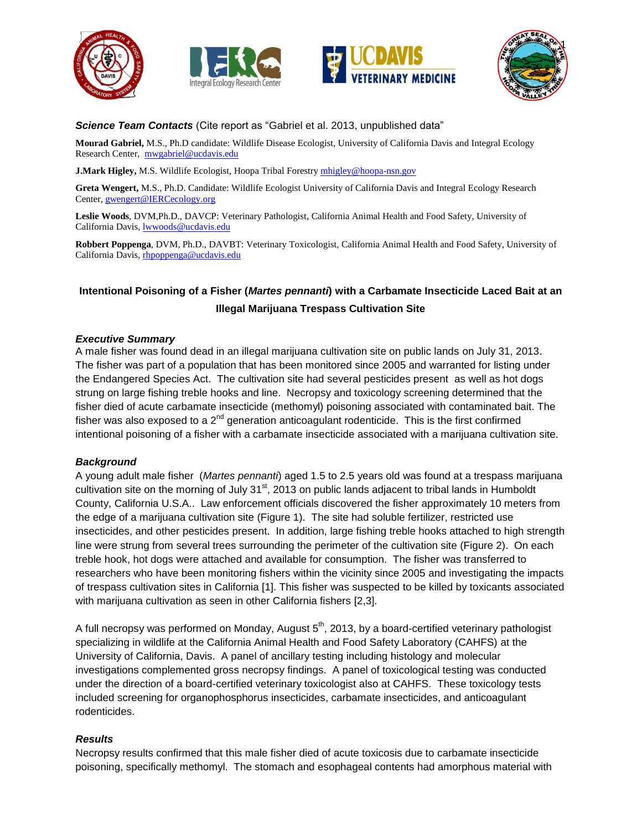







#### *Science Team Contacts* (Cite report as "Gabriel et al. 2013, unpublished data"

**Mourad Gabriel,** M.S., Ph.D candidate: Wildlife Disease Ecologist, University of California Davis and Integral Ecology Research Center, [mwgabriel@ucdavis.edu](mailto:mwgabriel@ucdavis.edu)

**J.Mark Higley, M.S. Wildlife Ecologist, Hoopa Tribal Forestry [mhigley@hoopa-nsn.gov](mailto:mhigley@hoopa-nsn.gov)** 

**Greta Wengert,** M.S., Ph.D. Candidate: Wildlife Ecologist University of California Davis and Integral Ecology Research Center, [gwengert@IERCecology.org](mailto:gwengert@IERCecology.org)

**Leslie Woods**, DVM,Ph.D., DAVCP: Veterinary Pathologist, California Animal Health and Food Safety, University of California Davis, [lwwoods@ucdavis.edu](mailto:lwwoods@ucdavis.edu)

**Robbert Poppenga**, DVM, Ph.D., DAVBT: Veterinary Toxicologist, California Animal Health and Food Safety, University of California Davis, [rhpoppenga@ucdavis.edu](mailto:rhpoppenga@ucdavis.edu)

# **Intentional Poisoning of a Fisher (***Martes pennanti***) with a Carbamate Insecticide Laced Bait at an Illegal Marijuana Trespass Cultivation Site**

#### *Executive Summary*

A male fisher was found dead in an illegal marijuana cultivation site on public lands on July 31, 2013. The fisher was part of a population that has been monitored since 2005 and warranted for listing under the Endangered Species Act. The cultivation site had several pesticides present as well as hot dogs strung on large fishing treble hooks and line. Necropsy and toxicology screening determined that the fisher died of acute carbamate insecticide (methomyl) poisoning associated with contaminated bait. The fisher was also exposed to a  $2<sup>nd</sup>$  generation anticoagulant rodenticide. This is the first confirmed intentional poisoning of a fisher with a carbamate insecticide associated with a marijuana cultivation site.

## *Background*

A young adult male fisher (*Martes pennanti*) aged 1.5 to 2.5 years old was found at a trespass marijuana cultivation site on the morning of July  $31<sup>st</sup>$ , 2013 on public lands adjacent to tribal lands in Humboldt County, California U.S.A.. Law enforcement officials discovered the fisher approximately 10 meters from the edge of a marijuana cultivation site (Figure 1). The site had soluble fertilizer, restricted use insecticides, and other pesticides present. In addition, large fishing treble hooks attached to high strength line were strung from several trees surrounding the perimeter of the cultivation site (Figure 2). On each treble hook, hot dogs were attached and available for consumption. The fisher was transferred to researchers who have been monitoring fishers within the vicinity since 2005 and investigating the impacts of trespass cultivation sites in California [\[1\]](#page-1-0). This fisher was suspected to be killed by toxicants associated with marijuana cultivation as seen in other California fishers [\[2](#page-1-1)[,3\]](#page-1-2).

A full necropsy was performed on Monday, August  $5<sup>th</sup>$ , 2013, by a board-certified veterinary pathologist specializing in wildlife at the California Animal Health and Food Safety Laboratory (CAHFS) at the University of California, Davis. A panel of ancillary testing including histology and molecular investigations complemented gross necropsy findings. A panel of toxicological testing was conducted under the direction of a board-certified veterinary toxicologist also at CAHFS. These toxicology tests included screening for organophosphorus insecticides, carbamate insecticides, and anticoagulant rodenticides.

## *Results*

Necropsy results confirmed that this male fisher died of acute toxicosis due to carbamate insecticide poisoning, specifically methomyl. The stomach and esophageal contents had amorphous material with